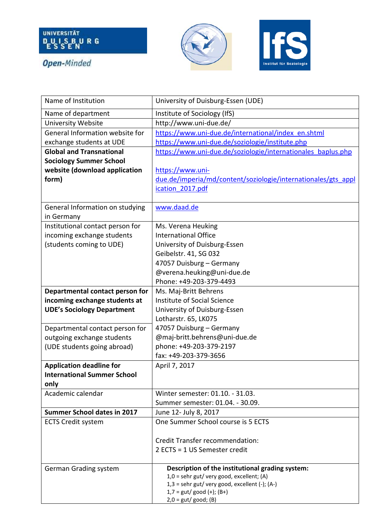







| Name of Institution                | University of Duisburg-Essen (UDE)                                                     |
|------------------------------------|----------------------------------------------------------------------------------------|
| Name of department                 | Institute of Sociology (IfS)                                                           |
| University Website                 | http://www.uni-due.de/                                                                 |
| General Information website for    | https://www.uni-due.de/international/index en.shtml                                    |
| exchange students at UDE           | https://www.uni-due.de/soziologie/institute.php                                        |
| <b>Global and Transnational</b>    | https://www.uni-due.de/soziologie/internationales baplus.php                           |
| <b>Sociology Summer School</b>     |                                                                                        |
| website (download application      | https://www.uni-                                                                       |
| form)                              | due.de/imperia/md/content/soziologie/internationales/gts appl                          |
|                                    | ication 2017.pdf                                                                       |
|                                    |                                                                                        |
| General Information on studying    | www.daad.de                                                                            |
| in Germany                         |                                                                                        |
| Institutional contact person for   | Ms. Verena Heuking                                                                     |
| incoming exchange students         | <b>International Office</b>                                                            |
| (students coming to UDE)           | University of Duisburg-Essen                                                           |
|                                    | Geibelstr. 41, SG 032                                                                  |
|                                    | 47057 Duisburg - Germany                                                               |
|                                    | @verena.heuking@uni-due.de                                                             |
|                                    | Phone: +49-203-379-4493                                                                |
| Departmental contact person for    | Ms. Maj-Britt Behrens                                                                  |
| incoming exchange students at      | Institute of Social Science                                                            |
| <b>UDE's Sociology Department</b>  | University of Duisburg-Essen                                                           |
|                                    | Lotharstr. 65, LK075                                                                   |
| Departmental contact person for    | 47057 Duisburg - Germany                                                               |
| outgoing exchange students         | @maj-britt.behrens@uni-due.de                                                          |
| (UDE students going abroad)        | phone: +49-203-379-2197                                                                |
|                                    | fax: +49-203-379-3656                                                                  |
| <b>Application deadline for</b>    | April 7, 2017                                                                          |
| <b>International Summer School</b> |                                                                                        |
| only                               |                                                                                        |
| Academic calendar                  | Winter semester: 01.10. - 31.03.                                                       |
|                                    | Summer semester: 01.04. - 30.09.                                                       |
| <b>Summer School dates in 2017</b> | June 12- July 8, 2017                                                                  |
| <b>ECTS Credit system</b>          | One Summer School course is 5 ECTS                                                     |
|                                    |                                                                                        |
|                                    | <b>Credit Transfer recommendation:</b>                                                 |
|                                    | 2 ECTS = 1 US Semester credit                                                          |
|                                    |                                                                                        |
| German Grading system              | Description of the institutional grading system:                                       |
|                                    | $1,0$ = sehr gut/very good, excellent; (A)                                             |
|                                    | $1,3 =$ sehr gut/very good, excellent (-); (A-)<br>$1,7 = \text{gut/ good (+)}$ ; (B+) |
|                                    | $2,0 = gut/good; (B)$                                                                  |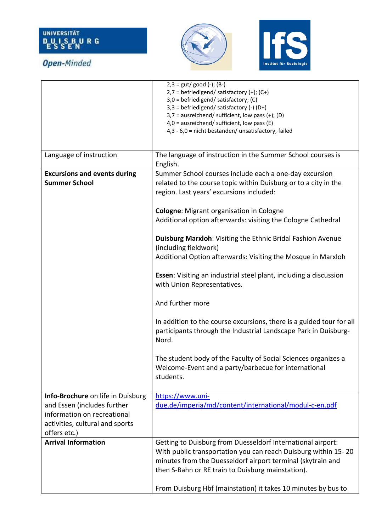**Open-Minded** 





## $2,3 = \text{gut/ good (-)}$ ; (B-)  $2.7 = \text{befriedigend/} satisfying (+)$ ; (C+) 3,0 = befriedigend/ satisfactory; (C) 3,3 = befriedigend/ satisfactory (-) (D+) 3,7 = ausreichend/ sufficient, low pass (+); (D) 4,0 = ausreichend/ sufficient, low pass (E) 4,3 - 6,0 = nicht bestanden/ unsatisfactory, failed Language of instruction  $\vert$  The language of instruction in the Summer School courses is English. **Excursions and events during Summer School**  Summer School courses include each a one-day excursion related to the course topic within Duisburg or to a city in the region. Last years' excursions included: **Cologne**: Migrant organisation in Cologne Additional option afterwards: visiting the Cologne Cathedral **Duisburg Marxloh**: Visiting the Ethnic Bridal Fashion Avenue (including fieldwork) Additional Option afterwards: Visiting the Mosque in Marxloh **Essen**: Visiting an industrial steel plant, including a discussion with Union Representatives. And further more In addition to the course excursions, there is a guided tour for all participants through the Industrial Landscape Park in Duisburg-Nord. The student body of the Faculty of Social Sciences organizes a Welcome-Event and a party/barbecue for international students. **Info-Brochure** on life in Duisburg and Essen (includes further information on recreational activities, cultural and sports offers etc.) [https://www.uni](https://www.uni-due.de/imperia/md/content/international/modul-c-en.pdf)[due.de/imperia/md/content/international/modul-c-en.pdf](https://www.uni-due.de/imperia/md/content/international/modul-c-en.pdf) **Arrival Information 1990 10 Getting to Duisburg from Duesseldorf International airport:** With public transportation you can reach Duisburg within 15- 20 minutes from the Duesseldorf airport terminal (skytrain and then S-Bahn or RE train to Duisburg mainstation). From Duisburg Hbf (mainstation) it takes 10 minutes by bus to